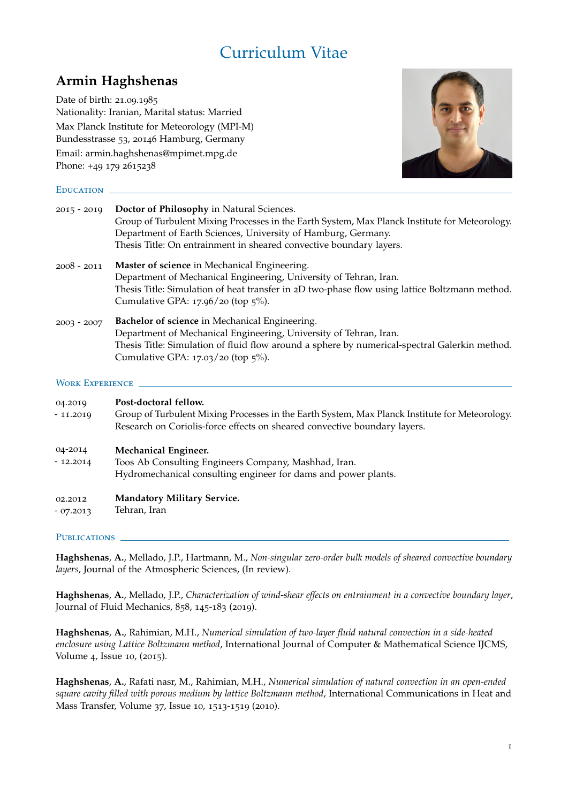# Curriculum Vitae

# **Armin Haghshenas**

Date of birth: 21.09.1985 Nationality: Iranian, Marital status: Married Max Planck Institute for Meteorology (MPI-M) Bundesstrasse 53, 20146 Hamburg, Germany Email: armin.haghshenas@mpimet.mpg.de Phone: +49 179 2615238



# EDUCATION \_

| $2015 - 2019$ | Doctor of Philosophy in Natural Sciences.<br>Group of Turbulent Mixing Processes in the Earth System, Max Planck Institute for Meteorology.<br>Department of Earth Sciences, University of Hamburg, Germany.<br>Thesis Title: On entrainment in sheared convective boundary layers. |
|---------------|-------------------------------------------------------------------------------------------------------------------------------------------------------------------------------------------------------------------------------------------------------------------------------------|
| $2008 - 2011$ | Master of science in Mechanical Engineering.<br>Department of Mechanical Engineering, University of Tehran, Iran.<br>Thesis Title: Simulation of heat transfer in 2D two-phase flow using lattice Boltzmann method.<br>Cumulative GPA: $17.96/20$ (top $5\%$ ).                     |
| $2003 - 2007$ | Bachelor of science in Mechanical Engineering.<br>Department of Mechanical Engineering, University of Tehran, Iran.<br>Thesis Title: Simulation of fluid flow around a sphere by numerical-spectral Galerkin method.<br>Cumulative GPA: $17.03/20$ (top $5\%$ ).                    |

## Work Experience

| 04.2019<br>$-11.2019$ | Post-doctoral fellow.<br>Group of Turbulent Mixing Processes in the Earth System, Max Planck Institute for Meteorology.<br>Research on Coriolis-force effects on sheared convective boundary layers. |
|-----------------------|------------------------------------------------------------------------------------------------------------------------------------------------------------------------------------------------------|
| 04-2014<br>$-12.2014$ | <b>Mechanical Engineer.</b><br>Toos Ab Consulting Engineers Company, Mashhad, Iran.<br>Hydromechanical consulting engineer for dams and power plants.                                                |
| 02.2012<br>$-07.2013$ | <b>Mandatory Military Service.</b><br>Tehran, Iran                                                                                                                                                   |

# PUBLICATIONS \_

**Haghshenas**, **A.**, Mellado, J.P., Hartmann, M., *Non-singular zero-order bulk models of sheared convective boundary layers*, Journal of the Atmospheric Sciences, (In review).

**Haghshenas**, **A.**, Mellado, J.P., *Characterization of wind-shear effects on entrainment in a convective boundary layer*, Journal of Fluid Mechanics, 858, 145-183 (2019).

**Haghshenas**, **A.**, Rahimian, M.H., *Numerical simulation of two-layer fluid natural convection in a side-heated enclosure using Lattice Boltzmann method*, International Journal of Computer & Mathematical Science IJCMS, Volume 4, Issue 10, (2015).

**Haghshenas**, **A.**, Rafati nasr, M., Rahimian, M.H., *Numerical simulation of natural convection in an open-ended square cavity filled with porous medium by lattice Boltzmann method*, International Communications in Heat and Mass Transfer, Volume 37, Issue 10, 1513-1519 (2010).